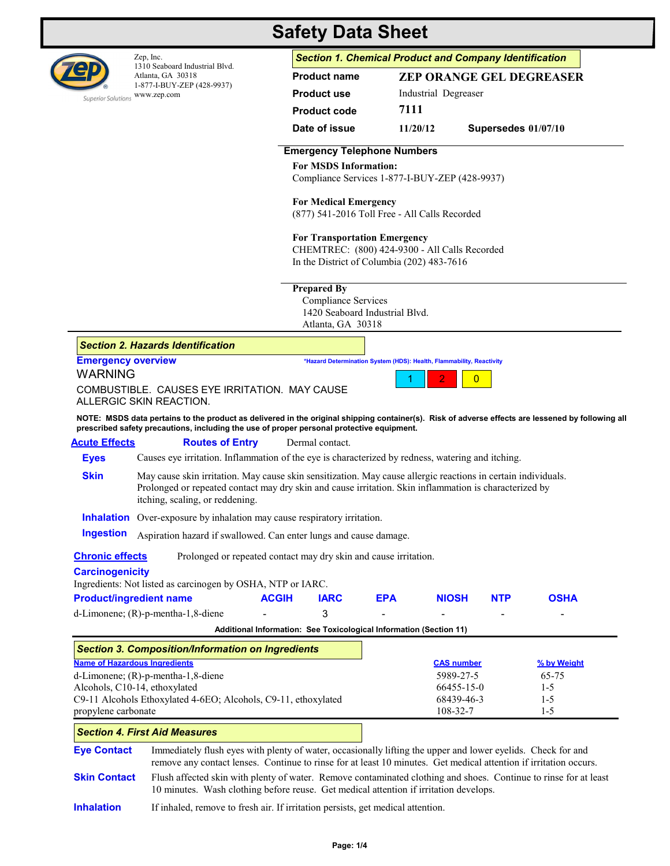

1310 Seaboard Industrial Blvd. Atlanta, GA 30318 1-877-I-BUY-ZEP (428-9937) Superior Solutions WWW.zep.com

# **Safety Data Sheet**

Zep, Inc. *Section 1. Chemical Product and Company Identification*

| <b>ZEP ORANGE GEL DEGREASER</b> |                       |  |  |  |
|---------------------------------|-----------------------|--|--|--|
| Industrial Degreaser            |                       |  |  |  |
| 7111                            |                       |  |  |  |
| 11/20/12                        | Supersedes $01/07/10$ |  |  |  |
|                                 |                       |  |  |  |

## **Emergency Telephone Numbers**

#### **For MSDS Information:**

Compliance Services 1-877-I-BUY-ZEP (428-9937)

## **For Medical Emergency**

(877) 541-2016 Toll Free - All Calls Recorded

### **For Transportation Emergency**

CHEMTREC: (800) 424-9300 - All Calls Recorded In the District of Columbia (202) 483-7616

# **Prepared By**

 Compliance Services 1420 Seaboard Industrial Blvd.<br>Atlanta CA 20218  $CA$  30319

|                                      |                                                                                                                                                                                                                                                            |                                                                    | Atlanta, GA 30318 |            |                                                                      |            |             |
|--------------------------------------|------------------------------------------------------------------------------------------------------------------------------------------------------------------------------------------------------------------------------------------------------------|--------------------------------------------------------------------|-------------------|------------|----------------------------------------------------------------------|------------|-------------|
|                                      | <b>Section 2. Hazards Identification</b>                                                                                                                                                                                                                   |                                                                    |                   |            |                                                                      |            |             |
| <b>Emergency overview</b>            |                                                                                                                                                                                                                                                            |                                                                    |                   |            | *Hazard Determination System (HDS): Health, Flammability, Reactivity |            |             |
| <b>WARNING</b>                       |                                                                                                                                                                                                                                                            |                                                                    |                   |            | 2<br>$\overline{0}$                                                  |            |             |
|                                      | COMBUSTIBLE. CAUSES EYE IRRITATION. MAY CAUSE<br>ALLERGIC SKIN REACTION.                                                                                                                                                                                   |                                                                    |                   |            |                                                                      |            |             |
|                                      | NOTE: MSDS data pertains to the product as delivered in the original shipping container(s). Risk of adverse effects are lessened by following all<br>prescribed safety precautions, including the use of proper personal protective equipment.             |                                                                    |                   |            |                                                                      |            |             |
| <b>Acute Effects</b>                 | <b>Routes of Entry</b>                                                                                                                                                                                                                                     |                                                                    | Dermal contact.   |            |                                                                      |            |             |
| <b>Eyes</b>                          | Causes eye irritation. Inflammation of the eye is characterized by redness, watering and itching.                                                                                                                                                          |                                                                    |                   |            |                                                                      |            |             |
| <b>Skin</b>                          | May cause skin irritation. May cause skin sensitization. May cause allergic reactions in certain individuals.<br>Prolonged or repeated contact may dry skin and cause irritation. Skin inflammation is characterized by<br>itching, scaling, or reddening. |                                                                    |                   |            |                                                                      |            |             |
|                                      | <b>Inhalation</b> Over-exposure by inhalation may cause respiratory irritation.                                                                                                                                                                            |                                                                    |                   |            |                                                                      |            |             |
| <b>Ingestion</b>                     | Aspiration hazard if swallowed. Can enter lungs and cause damage.                                                                                                                                                                                          |                                                                    |                   |            |                                                                      |            |             |
| <b>Chronic effects</b>               | Prolonged or repeated contact may dry skin and cause irritation.                                                                                                                                                                                           |                                                                    |                   |            |                                                                      |            |             |
| <b>Carcinogenicity</b>               | Ingredients: Not listed as carcinogen by OSHA, NTP or IARC.                                                                                                                                                                                                |                                                                    |                   |            |                                                                      |            |             |
| <b>Product/ingredient name</b>       |                                                                                                                                                                                                                                                            | <b>ACGIH</b>                                                       | <b>IARC</b>       | <b>EPA</b> | <b>NIOSH</b>                                                         | <b>NTP</b> | <b>OSHA</b> |
|                                      | $d$ -Limonene; $(R)$ -p-mentha-1,8-diene                                                                                                                                                                                                                   |                                                                    | 3                 |            |                                                                      |            |             |
|                                      |                                                                                                                                                                                                                                                            | Additional Information: See Toxicological Information (Section 11) |                   |            |                                                                      |            |             |
|                                      | <b>Section 3. Composition/Information on Ingredients</b>                                                                                                                                                                                                   |                                                                    |                   |            |                                                                      |            |             |
| <b>Name of Hazardous Ingredients</b> |                                                                                                                                                                                                                                                            |                                                                    |                   |            | <b>CAS number</b>                                                    |            | % by Weight |
| d-Limonene; (R)-p-mentha-1,8-diene   |                                                                                                                                                                                                                                                            |                                                                    |                   |            | 5989-27-5                                                            |            | 65-75       |
|                                      | Alcohols, C10-14, ethoxylated                                                                                                                                                                                                                              |                                                                    |                   |            | 66455-15-0                                                           |            | $1 - 5$     |
|                                      | C9-11 Alcohols Ethoxylated 4-6EO; Alcohols, C9-11, ethoxylated                                                                                                                                                                                             |                                                                    |                   |            | 68439-46-3                                                           |            | $1 - 5$     |
| propylene carbonate                  |                                                                                                                                                                                                                                                            |                                                                    |                   |            | 108-32-7                                                             |            | $1-5$       |
|                                      | <b>Section 4. First Aid Measures</b>                                                                                                                                                                                                                       |                                                                    |                   |            |                                                                      |            |             |
| <b>Eye Contact</b>                   | Immediately flush eyes with plenty of water, occasionally lifting the upper and lower eyelids. Check for and<br>remove any contact lenses. Continue to rinse for at least 10 minutes. Get medical attention if irritation occurs.                          |                                                                    |                   |            |                                                                      |            |             |
| <b>Skin Contact</b>                  | Flush affected skin with plenty of water. Remove contaminated clothing and shoes. Continue to rinse for at least<br>10 minutes. Wash clothing before reuse. Get medical attention if irritation develops.                                                  |                                                                    |                   |            |                                                                      |            |             |

**Inhalation** If inhaled, remove to fresh air. If irritation persists, get medical attention.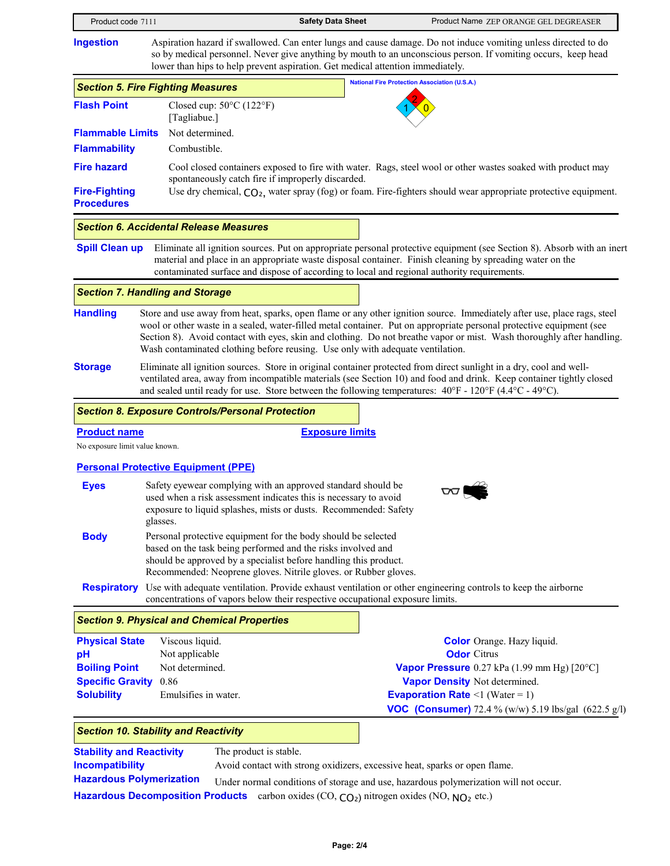Product code 7111 **Safety Data Sheet** Product Name ZEP ORANGE GEL DEGREASER **Ingestion** Aspiration hazard if swallowed. Can enter lungs and cause damage. Do not induce vomiting unless directed to do so by medical personnel. Never give anything by mouth to an unconscious person. If vomiting occurs, keep head lower than hips to help prevent aspiration. Get medical attention immediately. Closed cup: 50°C (122°F) [Tagliabue.] **Flash Point** Not determined. **National Fire Protection Association (U.S.A.)**  $1 \times 0$ 2  $\vert 0 \rangle$  and the set of  $\vert 0 \vert$ **Flammable Limits Flammability Fire hazard** Cool closed containers exposed to fire with water. Rags, steel wool or other wastes soaked with product may spontaneously catch fire if improperly discarded. Combustible. **Fire-Fighting Procedures** Use dry chemical,  $CO<sub>2</sub>$ , water spray (fog) or foam. Fire-fighters should wear appropriate protective equipment. *Section 5. Fire Fighting Measures* **Spill Clean up** Eliminate all ignition sources. Put on appropriate personal protective equipment (see Section 8). Absorb with an inert material and place in an appropriate waste disposal container. Finish cleaning by spreading water on the contaminated surface and dispose of according to local and regional authority requirements. *Section 6. Accidental Release Measures* **Handling Storage** Store and use away from heat, sparks, open flame or any other ignition source. Immediately after use, place rags, steel wool or other waste in a sealed, water-filled metal container. Put on appropriate personal protective equipment (see Section 8). Avoid contact with eyes, skin and clothing. Do not breathe vapor or mist. Wash thoroughly after handling. Wash contaminated clothing before reusing. Use only with adequate ventilation. Eliminate all ignition sources. Store in original container protected from direct sunlight in a dry, cool and wellventilated area, away from incompatible materials (see Section 10) and food and drink. Keep container tightly closed and sealed until ready for use. Store between the following temperatures: 40°F - 120°F (4.4°C - 49°C). *Section 7. Handling and Storage* **Personal Protective Equipment (PPE) Eyes Body Respiratory** Use with adequate ventilation. Provide exhaust ventilation or other engineering controls to keep the airborne **Product name Exposure limits** No exposure limit value known. Safety eyewear complying with an approved standard should be used when a risk assessment indicates this is necessary to avoid exposure to liquid splashes, mists or dusts. Recommended: Safety glasses. Personal protective equipment for the body should be selected based on the task being performed and the risks involved and should be approved by a specialist before handling this product. Recommended: Neoprene gloves. Nitrile gloves. or Rubber gloves. concentrations of vapors below their respective occupational exposure limits. *Section 8. Exposure Controls/Personal Protection* **Physical State pH Boiling Point Specific Gravity Solubility** Emulsifies in water. Viscous liquid. Not applicable Not determined. 0.86 **Color** Orange. Hazy liquid. **Odor** Citrus **Vapor Pressure** 0.27 kPa (1.99 mm Hg) [20°C] **Vapor Density** Not determined. Emulsifies in water. **Example 2018 Example 2018 Example 2018 Example 2018 Example 2018 Example 2018 EXAMPLE 2018 EXAMPLE 2018 EXAMPLE 2018 EXAMPLE 2018 EXAMPLE 2018 EXAMPLE 2018 EXAMPLE 2018 EXAMP** *Section 9. Physical and Chemical Properties*

**VOC (Consumer)** 72.4 % (w/w) 5.19 lbs/gal (622.5 g/l)

#### The product is stable. Under normal conditions of storage and use, hazardous polymerization will not occur. **Stability and Reactivity** Hazardous Decomposition Products carbon oxides (CO, CO<sub>2</sub>) nitrogen oxides (NO, NO<sub>2</sub> etc.) **Hazardous Polymerization Incompatibility** Avoid contact with strong oxidizers, excessive heat, sparks or open flame.

*Section 10. Stability and Reactivity*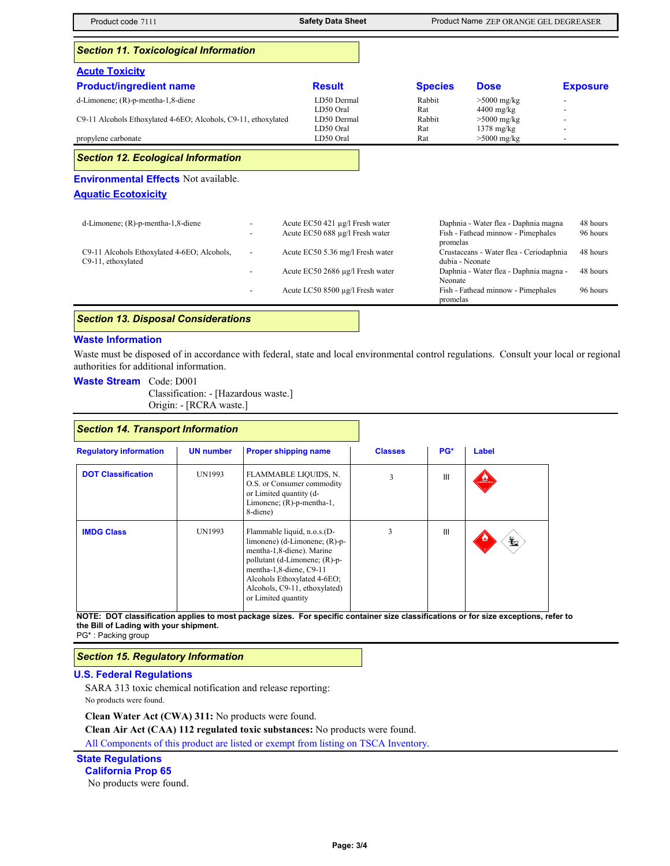Product code 7111 **Safety Data Sheet** Product Name ZEP ORANGE GEL DEGREASER **Acute Toxicity Product/ingredient name Result Species Dose Exposure** *Section 11. Toxicological Information* d-Limonene; (R)-p-mentha-1,8-diene LD50 Dermal Rabbit >5000 mg/kg -5000 mg/kg -1.<br>LD50 Oral Rat 4400 mg/kg -1. LD50 Oral Rat 4400 mg/kg<br>
LD50 Dermal Rabbit >5000 mg/kg C9-11 Alcohols Ethoxylated 4-6EO; Alcohols, C9-11, ethoxylated LD50 Oral Rat 1378 mg/kg<br>
LD50 Oral Rat >5000 mg/kg propylene carbonate and the carbonate carbonate  $LD50$  Oral Rat  $LD50$  Oral Rat  $-D50$  -Superior  $LD50$  -Carbonate  $LD50$  -Carbonate  $LD50$  -Carbonate  $LD50$  -Carbonate  $LD50$  -Carbonate  $LD50$  -Carbonate  $LD50$  -Carbonate  $LD50$  -Ca **Environmental Effects** Not available. **Aquatic Ecotoxicity** d-Limonene; (R)-p-mentha-1,8-diene - - Acute EC50 421 µg/l Fresh water Daphnia - Water flea - Daphnia magna 48 hours Acute EC50 688 µg/l Fresh water Fish - Fathead minnow - Pimephales promelas 96 hours C9-11 Alcohols Ethoxylated 4-6EO; Alcohols, C9-11, ethoxylated - Acute EC50 5.36 mg/l Fresh water Crustaceans - Water flea - Ceriodaphnia dubia - Neonate 48 hours - Acute EC50 2686 µg/l Fresh water Daphnia - Water flea - Daphnia magna - Neonate 48 hours Acute LC50 8500 µg/l Fresh water Fish - Fathead minnow - Pimephales promelas 96 hours *Section 12. Ecological Information*

## *Section 13. Disposal Considerations*

#### **Waste Information**

Waste must be disposed of in accordance with federal, state and local environmental control regulations. Consult your local or regional authorities for additional information.

- **Waste Stream** Code: D001
	- Classification: [Hazardous waste.] Origin: - [RCRA waste.]

## *Section 14. Transport Information*

| <b>Regulatory information</b> | <b>UN number</b> | <b>Proper shipping name</b>                                                                                                                                                                                                                     | <b>Classes</b> | PG* | Label         |
|-------------------------------|------------------|-------------------------------------------------------------------------------------------------------------------------------------------------------------------------------------------------------------------------------------------------|----------------|-----|---------------|
| <b>DOT Classification</b>     | UN1993           | FLAMMABLE LIQUIDS, N.<br>O.S. or Consumer commodity<br>or Limited quantity (d-<br>Limonene; $(R)$ -p-mentha-1,<br>8-diene)                                                                                                                      | 3              | Ш   | $\frac{1}{2}$ |
| <b>IMDG Class</b>             | UN1993           | Flammable liquid, n.o.s.(D-<br>limonene) (d-Limonene; $(R)$ -p-<br>mentha-1,8-diene). Marine<br>pollutant (d-Limonene; (R)-p-<br>mentha-1,8-diene, C9-11<br>Alcohols Ethoxylated 4-6EO;<br>Alcohols, C9-11, ethoxylated)<br>or Limited quantity | 3              | Ш   | 盭             |

**NOTE: DOT classification applies to most package sizes. For specific container size classifications or for size exceptions, refer to the Bill of Lading with your shipment.**

PG\* : Packing group

## *Section 15. Regulatory Information*

#### **U.S. Federal Regulations**

SARA 313 toxic chemical notification and release reporting: No products were found.

**Clean Water Act (CWA) 311:** No products were found.

**Clean Air Act (CAA) 112 regulated toxic substances:** No products were found.

All Components of this product are listed or exempt from listing on TSCA Inventory.

# **State Regulations**

**California Prop 65**

No products were found.